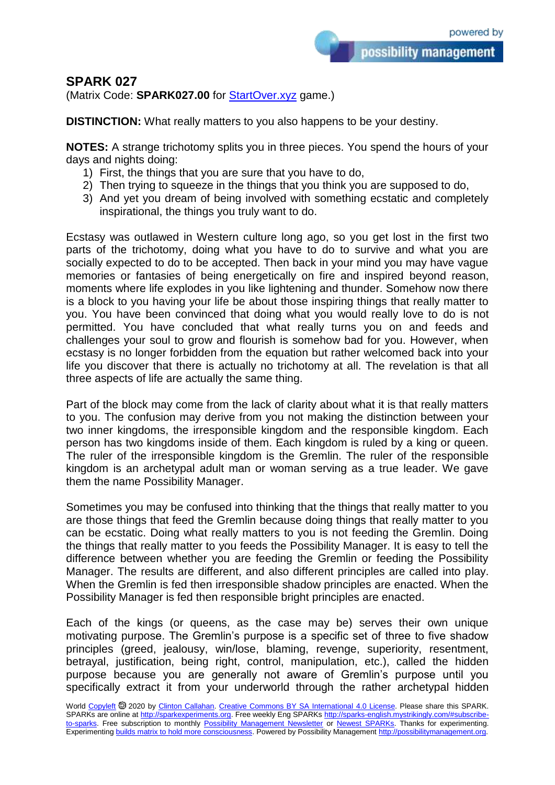## **SPARK 027**

(Matrix Code: **SPARK027.00** for **StartOver.xyz** game.)

**DISTINCTION:** What really matters to you also happens to be your destiny.

**NOTES:** A strange trichotomy splits you in three pieces. You spend the hours of your days and nights doing:

- 1) First, the things that you are sure that you have to do,
- 2) Then trying to squeeze in the things that you think you are supposed to do,
- 3) And yet you dream of being involved with something ecstatic and completely inspirational, the things you truly want to do.

Ecstasy was outlawed in Western culture long ago, so you get lost in the first two parts of the trichotomy, doing what you have to do to survive and what you are socially expected to do to be accepted. Then back in your mind you may have vague memories or fantasies of being energetically on fire and inspired beyond reason, moments where life explodes in you like lightening and thunder. Somehow now there is a block to you having your life be about those inspiring things that really matter to you. You have been convinced that doing what you would really love to do is not permitted. You have concluded that what really turns you on and feeds and challenges your soul to grow and flourish is somehow bad for you. However, when ecstasy is no longer forbidden from the equation but rather welcomed back into your life you discover that there is actually no trichotomy at all. The revelation is that all three aspects of life are actually the same thing.

Part of the block may come from the lack of clarity about what it is that really matters to you. The confusion may derive from you not making the distinction between your two inner kingdoms, the irresponsible kingdom and the responsible kingdom. Each person has two kingdoms inside of them. Each kingdom is ruled by a king or queen. The ruler of the irresponsible kingdom is the Gremlin. The ruler of the responsible kingdom is an archetypal adult man or woman serving as a true leader. We gave them the name Possibility Manager.

Sometimes you may be confused into thinking that the things that really matter to you are those things that feed the Gremlin because doing things that really matter to you can be ecstatic. Doing what really matters to you is not feeding the Gremlin. Doing the things that really matter to you feeds the Possibility Manager. It is easy to tell the difference between whether you are feeding the Gremlin or feeding the Possibility Manager. The results are different, and also different principles are called into play. When the Gremlin is fed then irresponsible shadow principles are enacted. When the Possibility Manager is fed then responsible bright principles are enacted.

Each of the kings (or queens, as the case may be) serves their own unique motivating purpose. The Gremlin's purpose is a specific set of three to five shadow principles (greed, jealousy, win/lose, blaming, revenge, superiority, resentment, betrayal, justification, being right, control, manipulation, etc.), called the hidden purpose because you are generally not aware of Gremlin's purpose until you specifically extract it from your underworld through the rather archetypal hidden